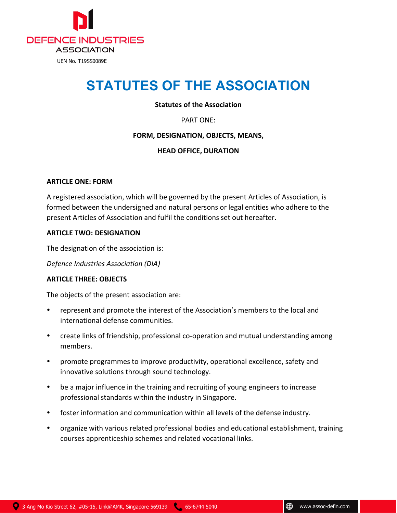

# **STATUTES OF THE ASSOCIATION**

# **Statutes of the Association**

PART ONE:

# **FORM, DESIGNATION, OBJECTS, MEANS,**

# **HEAD OFFICE, DURATION**

#### **ARTICLE ONE: FORM**

A registered association, which will be governed by the present Articles of Association, is formed between the undersigned and natural persons or legal entities who adhere to the present Articles of Association and fulfil the conditions set out hereafter.

#### **ARTICLE TWO: DESIGNATION**

The designation of the association is:

*Defence Industries Association (DIA)*

# **ARTICLE THREE: OBJECTS**

The objects of the present association are:

- represent and promote the interest of the Association's members to the local and international defense communities.
- create links of friendship, professional co-operation and mutual understanding among members.
- promote programmes to improve productivity, operational excellence, safety and innovative solutions through sound technology.
- be a major influence in the training and recruiting of young engineers to increase professional standards within the industry in Singapore.
- foster information and communication within all levels of the defense industry.
- organize with various related professional bodies and educational establishment, training courses apprenticeship schemes and related vocational links.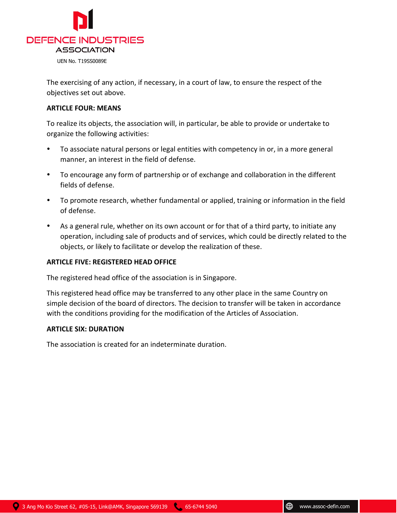

The exercising of any action, if necessary, in a court of law, to ensure the respect of the objectives set out above.

# **ARTICLE FOUR: MEANS**

To realize its objects, the association will, in particular, be able to provide or undertake to organize the following activities:

- To associate natural persons or legal entities with competency in or, in a more general manner, an interest in the field of defense.
- To encourage any form of partnership or of exchange and collaboration in the different fields of defense.
- To promote research, whether fundamental or applied, training or information in the field of defense.
- As a general rule, whether on its own account or for that of a third party, to initiate any operation, including sale of products and of services, which could be directly related to the objects, or likely to facilitate or develop the realization of these.

# **ARTICLE FIVE: REGISTERED HEAD OFFICE**

The registered head office of the association is in Singapore.

This registered head office may be transferred to any other place in the same Country on simple decision of the board of directors. The decision to transfer will be taken in accordance with the conditions providing for the modification of the Articles of Association.

# **ARTICLE SIX: DURATION**

The association is created for an indeterminate duration.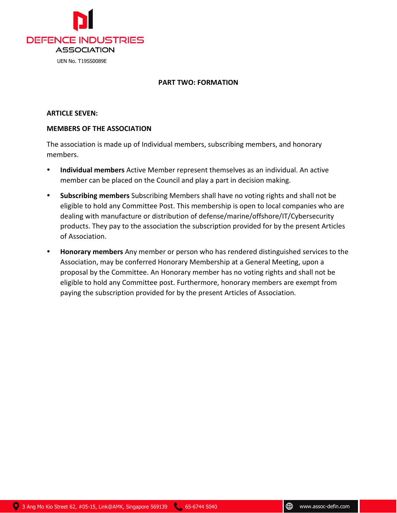

# **PART TWO: FORMATION**

# **ARTICLE SEVEN:**

# **MEMBERS OF THE ASSOCIATION**

The association is made up of Individual members, subscribing members, and honorary members.

- **Individual members** Active Member represent themselves as an individual. An active member can be placed on the Council and play a part in decision making.
- **Subscribing members** Subscribing Members shall have no voting rights and shall not be eligible to hold any Committee Post. This membership is open to local companies who are dealing with manufacture or distribution of defense/marine/offshore/IT/Cybersecurity products. They pay to the association the subscription provided for by the present Articles of Association.
- **Honorary members** Any member or person who has rendered distinguished services to the Association, may be conferred Honorary Membership at a General Meeting, upon a proposal by the Committee. An Honorary member has no voting rights and shall not be eligible to hold any Committee post. Furthermore, honorary members are exempt from paying the subscription provided for by the present Articles of Association.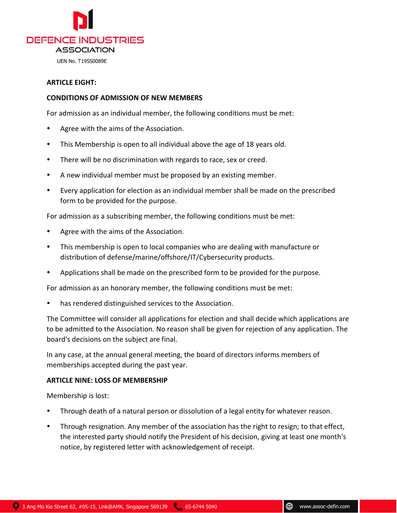

# **ARTICLE EIGHT:**

# **CONDITIONS OF ADMISSION OF NEW MEMBERS**

For admission as an individual member, the following conditions must be met:

- Agree with the aims of the Association.
- This Membership is open to all individual above the age of 18 years old.
- There will be no discrimination with regards to race, sex or creed.
- A new individual member must be proposed by an existing member.
- Every application for election as an individual member shall be made on the prescribed form to be provided for the purpose.

For admission as a subscribing member, the following conditions must be met:

- Agree with the aims of the Association.
- This membership is open to local companies who are dealing with manufacture or distribution of defense/marine/offshore/IT/Cybersecurity products.
- Applications shall be made on the prescribed form to be provided for the purpose.

For admission as an honorary member, the following conditions must be met:

has rendered distinguished services to the Association.

The Committee will consider all applications for election and shall decide which applications are to be admitted to the Association. No reason shall be given for rejection of any application. The board's decisions on the subject are final.

In any case, at the annual general meeting, the board of directors informs members of memberships accepted during the past year.

# **ARTICLE NINE: LOSS OF MEMBERSHIP**

Membership is lost:

- Through death of a natural person or dissolution of a legal entity for whatever reason.
- Through resignation. Any member of the association has the right to resign; to that effect, the interested party should notify the President of his decision, giving at least one month's notice, by registered letter with acknowledgement of receipt.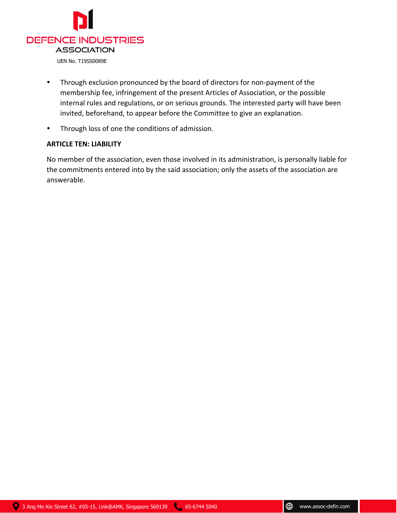

- Through exclusion pronounced by the board of directors for non-payment of the membership fee, infringement of the present Articles of Association, or the possible internal rules and regulations, or on serious grounds. The interested party will have been invited, beforehand, to appear before the Committee to give an explanation.
- Through loss of one the conditions of admission.

# **ARTICLE TEN: LIABILITY**

No member of the association, even those involved in its administration, is personally liable for the commitments entered into by the said association; only the assets of the association are answerable.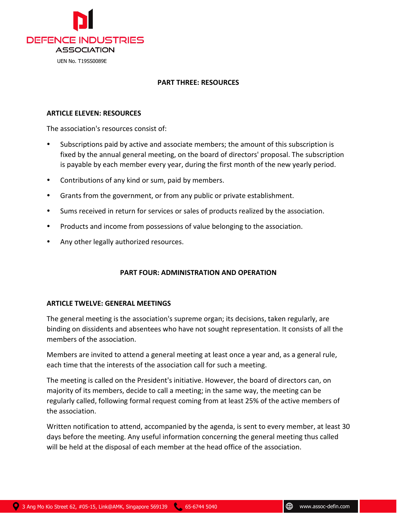

# **PART THREE: RESOURCES**

# **ARTICLE ELEVEN: RESOURCES**

The association's resources consist of:

- Subscriptions paid by active and associate members; the amount of this subscription is fixed by the annual general meeting, on the board of directors' proposal. The subscription is payable by each member every year, during the first month of the new yearly period.
- Contributions of any kind or sum, paid by members.
- Grants from the government, or from any public or private establishment.
- Sums received in return for services or sales of products realized by the association.
- Products and income from possessions of value belonging to the association.
- Any other legally authorized resources.

# **PART FOUR: ADMINISTRATION AND OPERATION**

# **ARTICLE TWELVE: GENERAL MEETINGS**

The general meeting is the association's supreme organ; its decisions, taken regularly, are binding on dissidents and absentees who have not sought representation. It consists of all the members of the association.

Members are invited to attend a general meeting at least once a year and, as a general rule, each time that the interests of the association call for such a meeting.

The meeting is called on the President's initiative. However, the board of directors can, on majority of its members, decide to call a meeting; in the same way, the meeting can be regularly called, following formal request coming from at least 25% of the active members of the association.

Written notification to attend, accompanied by the agenda, is sent to every member, at least 30 days before the meeting. Any useful information concerning the general meeting thus called will be held at the disposal of each member at the head office of the association.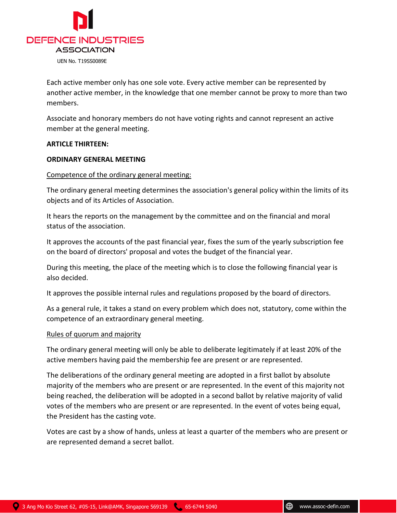

Each active member only has one sole vote. Every active member can be represented by another active member, in the knowledge that one member cannot be proxy to more than two members.

Associate and honorary members do not have voting rights and cannot represent an active member at the general meeting.

# **ARTICLE THIRTEEN:**

#### **ORDINARY GENERAL MEETING**

#### Competence of the ordinary general meeting:

The ordinary general meeting determines the association's general policy within the limits of its objects and of its Articles of Association.

It hears the reports on the management by the committee and on the financial and moral status of the association.

It approves the accounts of the past financial year, fixes the sum of the yearly subscription fee on the board of directors' proposal and votes the budget of the financial year.

During this meeting, the place of the meeting which is to close the following financial year is also decided.

It approves the possible internal rules and regulations proposed by the board of directors.

As a general rule, it takes a stand on every problem which does not, statutory, come within the competence of an extraordinary general meeting.

#### Rules of quorum and majority

The ordinary general meeting will only be able to deliberate legitimately if at least 20% of the active members having paid the membership fee are present or are represented.

The deliberations of the ordinary general meeting are adopted in a first ballot by absolute majority of the members who are present or are represented. In the event of this majority not being reached, the deliberation will be adopted in a second ballot by relative majority of valid votes of the members who are present or are represented. In the event of votes being equal, the President has the casting vote.

Votes are cast by a show of hands, unless at least a quarter of the members who are present or are represented demand a secret ballot.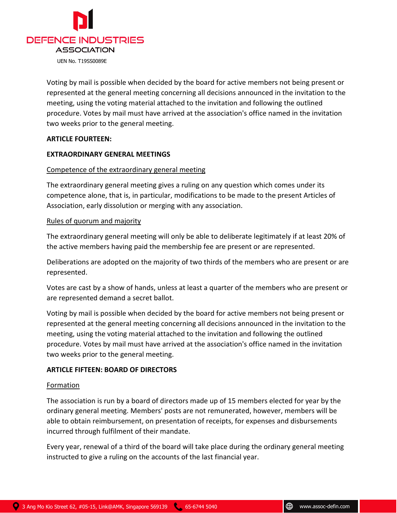

Voting by mail is possible when decided by the board for active members not being present or represented at the general meeting concerning all decisions announced in the invitation to the meeting, using the voting material attached to the invitation and following the outlined procedure. Votes by mail must have arrived at the association's office named in the invitation two weeks prior to the general meeting.

# **ARTICLE FOURTEEN:**

#### **EXTRAORDINARY GENERAL MEETINGS**

#### Competence of the extraordinary general meeting

The extraordinary general meeting gives a ruling on any question which comes under its competence alone, that is, in particular, modifications to be made to the present Articles of Association, early dissolution or merging with any association.

#### Rules of quorum and majority

The extraordinary general meeting will only be able to deliberate legitimately if at least 20% of the active members having paid the membership fee are present or are represented.

Deliberations are adopted on the majority of two thirds of the members who are present or are represented.

Votes are cast by a show of hands, unless at least a quarter of the members who are present or are represented demand a secret ballot.

Voting by mail is possible when decided by the board for active members not being present or represented at the general meeting concerning all decisions announced in the invitation to the meeting, using the voting material attached to the invitation and following the outlined procedure. Votes by mail must have arrived at the association's office named in the invitation two weeks prior to the general meeting.

# **ARTICLE FIFTEEN: BOARD OF DIRECTORS**

#### Formation

The association is run by a board of directors made up of 15 members elected for year by the ordinary general meeting. Members' posts are not remunerated, however, members will be able to obtain reimbursement, on presentation of receipts, for expenses and disbursements incurred through fulfilment of their mandate.

Every year, renewal of a third of the board will take place during the ordinary general meeting instructed to give a ruling on the accounts of the last financial year.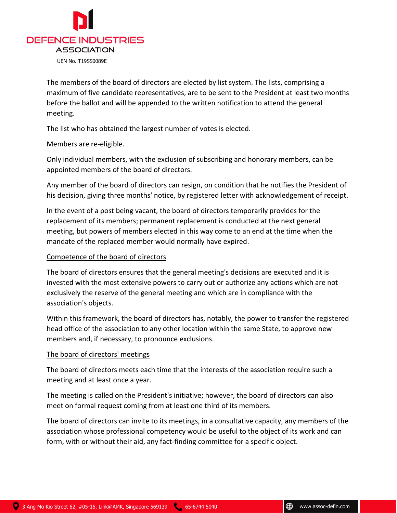

The members of the board of directors are elected by list system. The lists, comprising a maximum of five candidate representatives, are to be sent to the President at least two months before the ballot and will be appended to the written notification to attend the general meeting.

The list who has obtained the largest number of votes is elected.

Members are re-eligible.

Only individual members, with the exclusion of subscribing and honorary members, can be appointed members of the board of directors.

Any member of the board of directors can resign, on condition that he notifies the President of his decision, giving three months' notice, by registered letter with acknowledgement of receipt.

In the event of a post being vacant, the board of directors temporarily provides for the replacement of its members; permanent replacement is conducted at the next general meeting, but powers of members elected in this way come to an end at the time when the mandate of the replaced member would normally have expired.

# Competence of the board of directors

The board of directors ensures that the general meeting's decisions are executed and it is invested with the most extensive powers to carry out or authorize any actions which are not exclusively the reserve of the general meeting and which are in compliance with the association's objects.

Within this framework, the board of directors has, notably, the power to transfer the registered head office of the association to any other location within the same State, to approve new members and, if necessary, to pronounce exclusions.

# The board of directors' meetings

The board of directors meets each time that the interests of the association require such a meeting and at least once a year.

The meeting is called on the President's initiative; however, the board of directors can also meet on formal request coming from at least one third of its members.

The board of directors can invite to its meetings, in a consultative capacity, any members of the association whose professional competency would be useful to the object of its work and can form, with or without their aid, any fact-finding committee for a specific object.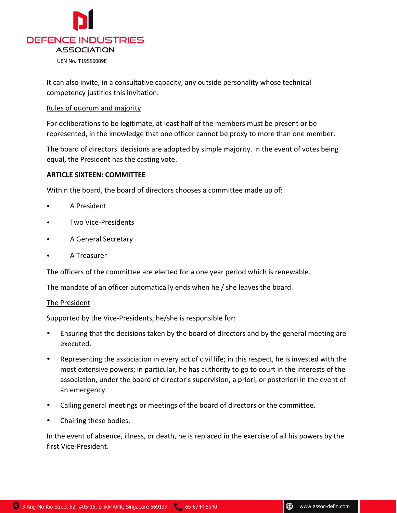

It can also invite, in a consultative capacity, any outside personality whose technical competency justifies this invitation.

#### Rules of quorum and majority

For deliberations to be legitimate, at least half of the members must be present or be represented, in the knowledge that one officer cannot be proxy to more than one member.

The board of directors' decisions are adopted by simple majority. In the event of votes being equal, the President has the casting vote.

# **ARTICLE SIXTEEN: COMMITTEE**

Within the board, the board of directors chooses a committee made up of:

- A President
- Two Vice-Presidents
- A General Secretary
- A Treasurer

The officers of the committee are elected for a one year period which is renewable.

The mandate of an officer automatically ends when he / she leaves the board.

# The President

Supported by the Vice-Presidents, he/she is responsible for:

- Ensuring that the decisions taken by the board of directors and by the general meeting are executed.
- Representing the association in every act of civil life; in this respect, he is invested with the most extensive powers; in particular, he has authority to go to court in the interests of the association, under the board of director's supervision, a priori, or posteriori in the event of an emergency.
- Calling general meetings or meetings of the board of directors or the committee.
- Chairing these bodies.

In the event of absence, illness, or death, he is replaced in the exercise of all his powers by the first Vice-President.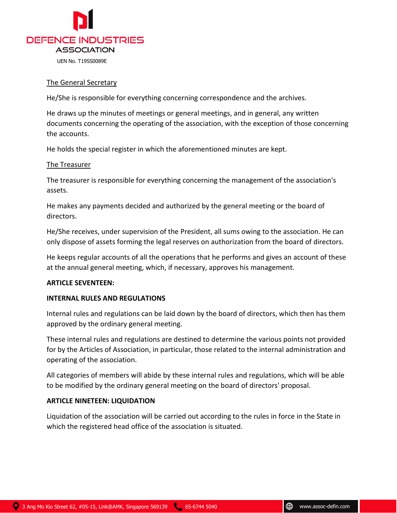

# The General Secretary

He/She is responsible for everything concerning correspondence and the archives.

He draws up the minutes of meetings or general meetings, and in general, any written documents concerning the operating of the association, with the exception of those concerning the accounts.

He holds the special register in which the aforementioned minutes are kept.

# The Treasurer

The treasurer is responsible for everything concerning the management of the association's assets.

He makes any payments decided and authorized by the general meeting or the board of directors.

He/She receives, under supervision of the President, all sums owing to the association. He can only dispose of assets forming the legal reserves on authorization from the board of directors.

He keeps regular accounts of all the operations that he performs and gives an account of these at the annual general meeting, which, if necessary, approves his management.

# **ARTICLE SEVENTEEN:**

# **INTERNAL RULES AND REGULATIONS**

Internal rules and regulations can be laid down by the board of directors, which then has them approved by the ordinary general meeting.

These internal rules and regulations are destined to determine the various points not provided for by the Articles of Association, in particular, those related to the internal administration and operating of the association.

All categories of members will abide by these internal rules and regulations, which will be able to be modified by the ordinary general meeting on the board of directors' proposal.

# **ARTICLE NINETEEN: LIQUIDATION**

Liquidation of the association will be carried out according to the rules in force in the State in which the registered head office of the association is situated.